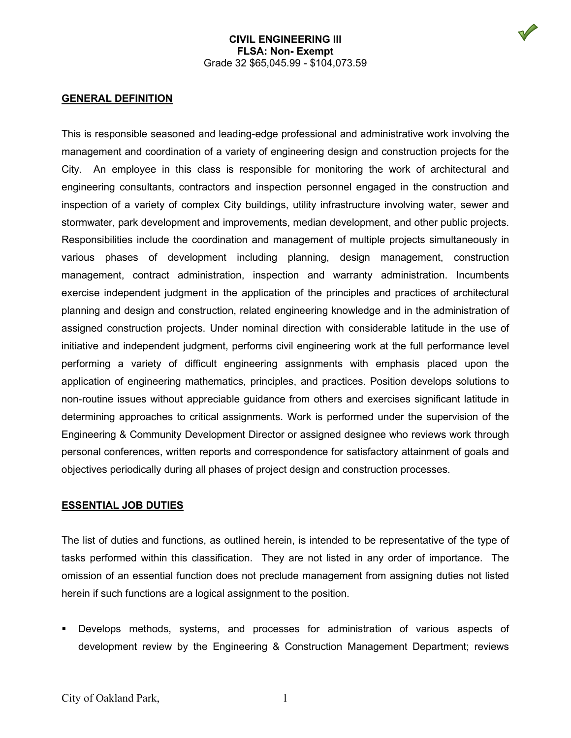

#### **GENERAL DEFINITION**

This is responsible seasoned and leading-edge professional and administrative work involving the management and coordination of a variety of engineering design and construction projects for the City. An employee in this class is responsible for monitoring the work of architectural and engineering consultants, contractors and inspection personnel engaged in the construction and inspection of a variety of complex City buildings, utility infrastructure involving water, sewer and stormwater, park development and improvements, median development, and other public projects. Responsibilities include the coordination and management of multiple projects simultaneously in various phases of development including planning, design management, construction management, contract administration, inspection and warranty administration. Incumbents exercise independent judgment in the application of the principles and practices of architectural planning and design and construction, related engineering knowledge and in the administration of assigned construction projects. Under nominal direction with considerable latitude in the use of initiative and independent judgment, performs civil engineering work at the full performance level performing a variety of difficult engineering assignments with emphasis placed upon the application of engineering mathematics, principles, and practices. Position develops solutions to non-routine issues without appreciable guidance from others and exercises significant latitude in determining approaches to critical assignments. Work is performed under the supervision of the Engineering & Community Development Director or assigned designee who reviews work through personal conferences, written reports and correspondence for satisfactory attainment of goals and objectives periodically during all phases of project design and construction processes.

#### **ESSENTIAL JOB DUTIES**

The list of duties and functions, as outlined herein, is intended to be representative of the type of tasks performed within this classification. They are not listed in any order of importance. The omission of an essential function does not preclude management from assigning duties not listed herein if such functions are a logical assignment to the position.

 Develops methods, systems, and processes for administration of various aspects of development review by the Engineering & Construction Management Department; reviews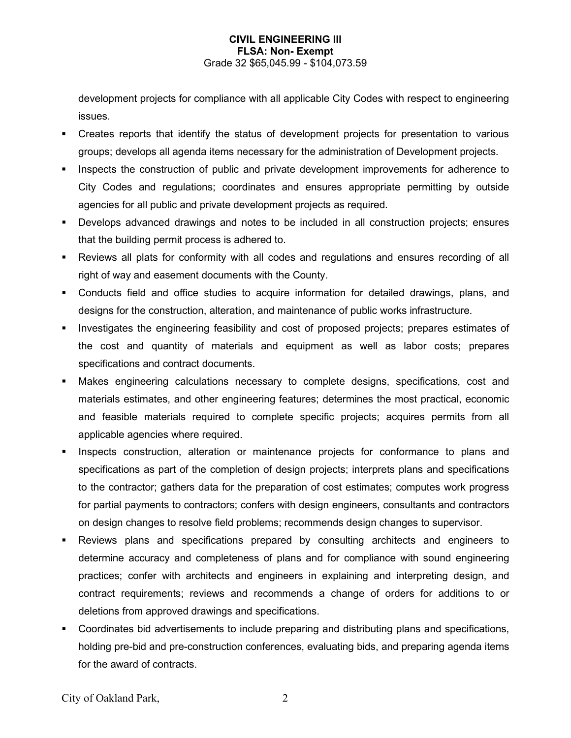development projects for compliance with all applicable City Codes with respect to engineering issues.

- Creates reports that identify the status of development projects for presentation to various groups; develops all agenda items necessary for the administration of Development projects.
- Inspects the construction of public and private development improvements for adherence to City Codes and regulations; coordinates and ensures appropriate permitting by outside agencies for all public and private development projects as required.
- Develops advanced drawings and notes to be included in all construction projects; ensures that the building permit process is adhered to.
- Reviews all plats for conformity with all codes and regulations and ensures recording of all right of way and easement documents with the County.
- Conducts field and office studies to acquire information for detailed drawings, plans, and designs for the construction, alteration, and maintenance of public works infrastructure.
- **Investigates the engineering feasibility and cost of proposed projects; prepares estimates of** the cost and quantity of materials and equipment as well as labor costs; prepares specifications and contract documents.
- Makes engineering calculations necessary to complete designs, specifications, cost and materials estimates, and other engineering features; determines the most practical, economic and feasible materials required to complete specific projects; acquires permits from all applicable agencies where required.
- Inspects construction, alteration or maintenance projects for conformance to plans and specifications as part of the completion of design projects; interprets plans and specifications to the contractor; gathers data for the preparation of cost estimates; computes work progress for partial payments to contractors; confers with design engineers, consultants and contractors on design changes to resolve field problems; recommends design changes to supervisor.
- Reviews plans and specifications prepared by consulting architects and engineers to determine accuracy and completeness of plans and for compliance with sound engineering practices; confer with architects and engineers in explaining and interpreting design, and contract requirements; reviews and recommends a change of orders for additions to or deletions from approved drawings and specifications.
- Coordinates bid advertisements to include preparing and distributing plans and specifications, holding pre-bid and pre-construction conferences, evaluating bids, and preparing agenda items for the award of contracts.

City of Oakland Park, 2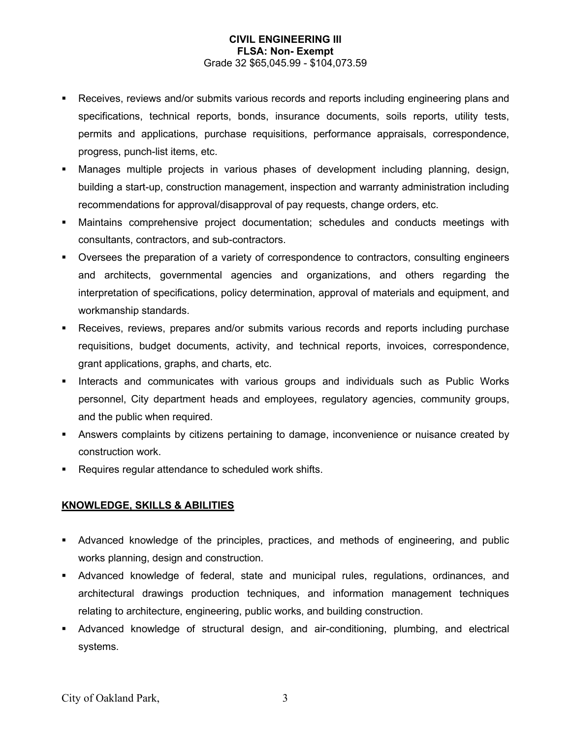- **Receives, reviews and/or submits various records and reports including engineering plans and** specifications, technical reports, bonds, insurance documents, soils reports, utility tests, permits and applications, purchase requisitions, performance appraisals, correspondence, progress, punch-list items, etc.
- Manages multiple projects in various phases of development including planning, design, building a start-up, construction management, inspection and warranty administration including recommendations for approval/disapproval of pay requests, change orders, etc.
- Maintains comprehensive project documentation; schedules and conducts meetings with consultants, contractors, and sub-contractors.
- Oversees the preparation of a variety of correspondence to contractors, consulting engineers and architects, governmental agencies and organizations, and others regarding the interpretation of specifications, policy determination, approval of materials and equipment, and workmanship standards.
- Receives, reviews, prepares and/or submits various records and reports including purchase requisitions, budget documents, activity, and technical reports, invoices, correspondence, grant applications, graphs, and charts, etc.
- Interacts and communicates with various groups and individuals such as Public Works personnel, City department heads and employees, regulatory agencies, community groups, and the public when required.
- Answers complaints by citizens pertaining to damage, inconvenience or nuisance created by construction work.
- Requires regular attendance to scheduled work shifts.

# **KNOWLEDGE, SKILLS & ABILITIES**

- Advanced knowledge of the principles, practices, and methods of engineering, and public works planning, design and construction.
- Advanced knowledge of federal, state and municipal rules, regulations, ordinances, and architectural drawings production techniques, and information management techniques relating to architecture, engineering, public works, and building construction.
- Advanced knowledge of structural design, and air-conditioning, plumbing, and electrical systems.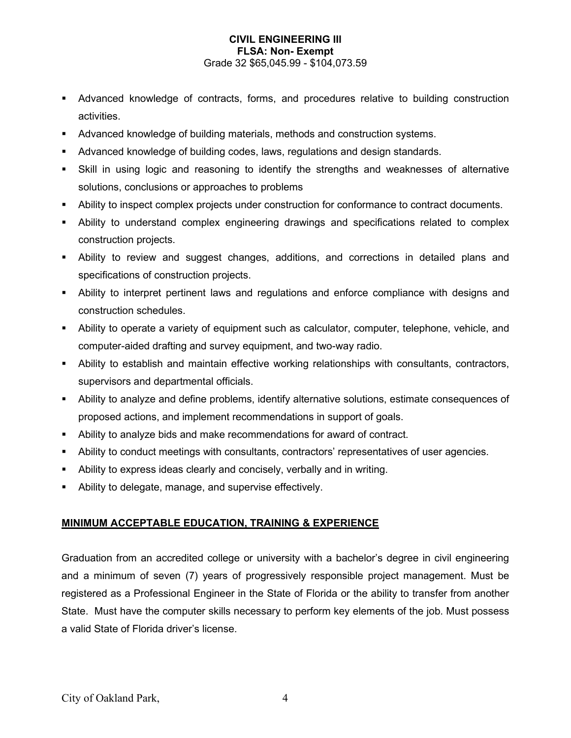- Advanced knowledge of contracts, forms, and procedures relative to building construction activities.
- Advanced knowledge of building materials, methods and construction systems.
- Advanced knowledge of building codes, laws, regulations and design standards.
- Skill in using logic and reasoning to identify the strengths and weaknesses of alternative solutions, conclusions or approaches to problems
- Ability to inspect complex projects under construction for conformance to contract documents.
- Ability to understand complex engineering drawings and specifications related to complex construction projects.
- Ability to review and suggest changes, additions, and corrections in detailed plans and specifications of construction projects.
- Ability to interpret pertinent laws and regulations and enforce compliance with designs and construction schedules.
- Ability to operate a variety of equipment such as calculator, computer, telephone, vehicle, and computer-aided drafting and survey equipment, and two-way radio.
- Ability to establish and maintain effective working relationships with consultants, contractors, supervisors and departmental officials.
- Ability to analyze and define problems, identify alternative solutions, estimate consequences of proposed actions, and implement recommendations in support of goals.
- Ability to analyze bids and make recommendations for award of contract.
- Ability to conduct meetings with consultants, contractors' representatives of user agencies.
- Ability to express ideas clearly and concisely, verbally and in writing.
- Ability to delegate, manage, and supervise effectively.

### **MINIMUM ACCEPTABLE EDUCATION, TRAINING & EXPERIENCE**

Graduation from an accredited college or university with a bachelor's degree in civil engineering and a minimum of seven (7) years of progressively responsible project management. Must be registered as a Professional Engineer in the State of Florida or the ability to transfer from another State. Must have the computer skills necessary to perform key elements of the job. Must possess a valid State of Florida driver's license.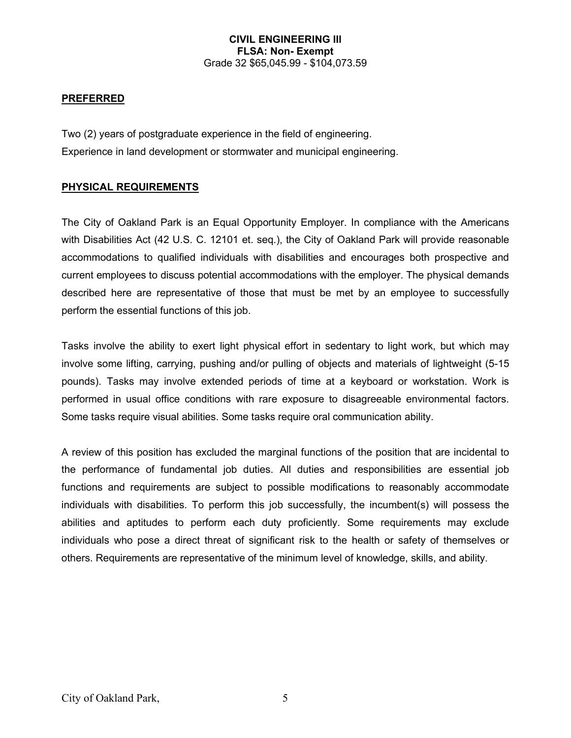### **PREFERRED**

Two (2) years of postgraduate experience in the field of engineering. Experience in land development or stormwater and municipal engineering.

#### **PHYSICAL REQUIREMENTS**

The City of Oakland Park is an Equal Opportunity Employer. In compliance with the Americans with Disabilities Act (42 U.S. C. 12101 et. seq.), the City of Oakland Park will provide reasonable accommodations to qualified individuals with disabilities and encourages both prospective and current employees to discuss potential accommodations with the employer. The physical demands described here are representative of those that must be met by an employee to successfully perform the essential functions of this job.

Tasks involve the ability to exert light physical effort in sedentary to light work, but which may involve some lifting, carrying, pushing and/or pulling of objects and materials of lightweight (5-15 pounds). Tasks may involve extended periods of time at a keyboard or workstation. Work is performed in usual office conditions with rare exposure to disagreeable environmental factors. Some tasks require visual abilities. Some tasks require oral communication ability.

A review of this position has excluded the marginal functions of the position that are incidental to the performance of fundamental job duties. All duties and responsibilities are essential job functions and requirements are subject to possible modifications to reasonably accommodate individuals with disabilities. To perform this job successfully, the incumbent(s) will possess the abilities and aptitudes to perform each duty proficiently. Some requirements may exclude individuals who pose a direct threat of significant risk to the health or safety of themselves or others. Requirements are representative of the minimum level of knowledge, skills, and ability.